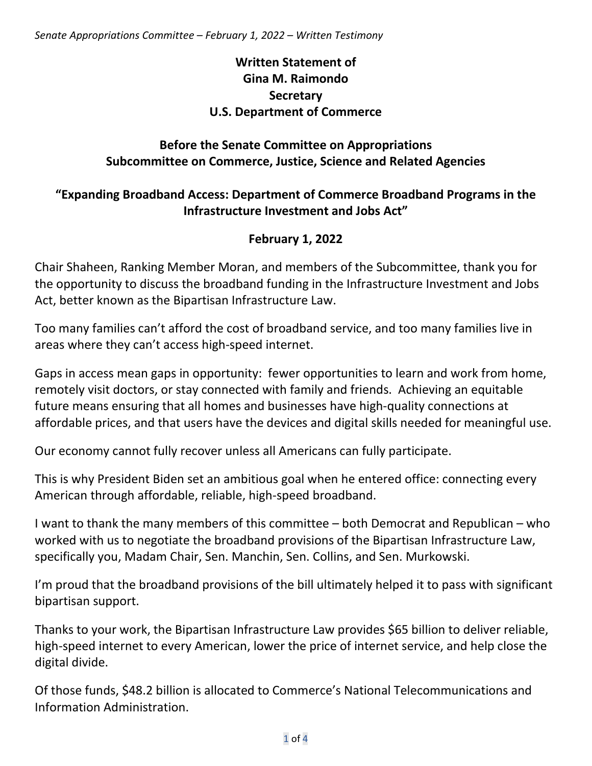# **Written Statement of Gina M. Raimondo Secretary U.S. Department of Commerce**

# **Before the Senate Committee on Appropriations Subcommittee on Commerce, Justice, Science and Related Agencies**

# **"Expanding Broadband Access: Department of Commerce Broadband Programs in the Infrastructure Investment and Jobs Act"**

## **February 1, 2022**

Chair Shaheen, Ranking Member Moran, and members of the Subcommittee, thank you for the opportunity to discuss the broadband funding in the Infrastructure Investment and Jobs Act, better known as the Bipartisan Infrastructure Law.

Too many families can't afford the cost of broadband service, and too many families live in areas where they can't access high-speed internet.

Gaps in access mean gaps in opportunity: fewer opportunities to learn and work from home, remotely visit doctors, or stay connected with family and friends. Achieving an equitable future means ensuring that all homes and businesses have high-quality connections at affordable prices, and that users have the devices and digital skills needed for meaningful use.

Our economy cannot fully recover unless all Americans can fully participate.

This is why President Biden set an ambitious goal when he entered office: connecting every American through affordable, reliable, high-speed broadband.

I want to thank the many members of this committee – both Democrat and Republican – who worked with us to negotiate the broadband provisions of the Bipartisan Infrastructure Law, specifically you, Madam Chair, Sen. Manchin, Sen. Collins, and Sen. Murkowski.

I'm proud that the broadband provisions of the bill ultimately helped it to pass with significant bipartisan support.

Thanks to your work, the Bipartisan Infrastructure Law provides \$65 billion to deliver reliable, high-speed internet to every American, lower the price of internet service, and help close the digital divide.

Of those funds, \$48.2 billion is allocated to Commerce's National Telecommunications and Information Administration.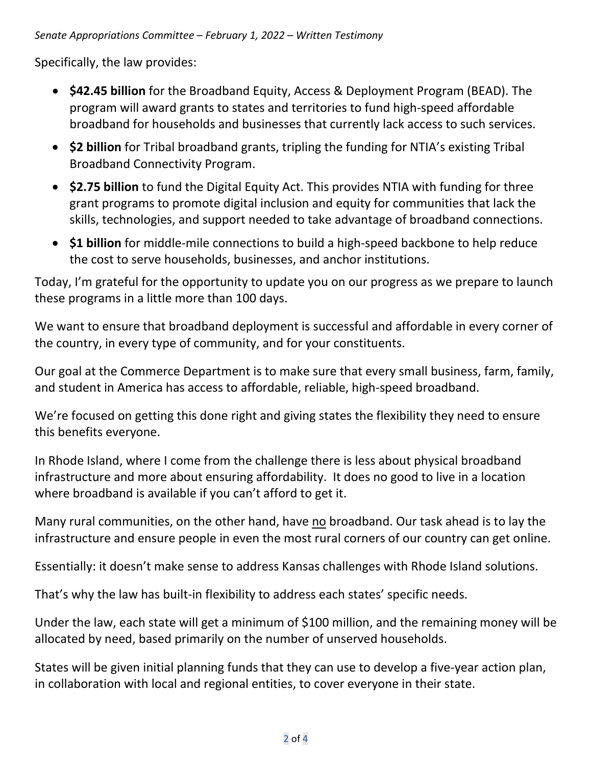Specifically, the law provides:

- **\$42.45 billion** for the Broadband Equity, Access & Deployment Program (BEAD). The program will award grants to states and territories to fund high-speed affordable broadband for households and businesses that currently lack access to such services.
- **\$2 billion** for Tribal broadband grants, tripling the funding for NTIA's existing Tribal Broadband Connectivity Program.
- **\$2.75 billion** to fund the Digital Equity Act. This provides NTIA with funding for three grant programs to promote digital inclusion and equity for communities that lack the skills, technologies, and support needed to take advantage of broadband connections.
- **\$1 billion** for middle-mile connections to build a high-speed backbone to help reduce the cost to serve households, businesses, and anchor institutions.

Today, I'm grateful for the opportunity to update you on our progress as we prepare to launch these programs in a little more than 100 days.

We want to ensure that broadband deployment is successful and affordable in every corner of the country, in every type of community, and for your constituents.

Our goal at the Commerce Department is to make sure that every small business, farm, family, and student in America has access to affordable, reliable, high-speed broadband.

We're focused on getting this done right and giving states the flexibility they need to ensure this benefits everyone.

In Rhode Island, where I come from the challenge there is less about physical broadband infrastructure and more about ensuring affordability. It does no good to live in a location where broadband is available if you can't afford to get it.

Many rural communities, on the other hand, have no broadband. Our task ahead is to lay the infrastructure and ensure people in even the most rural corners of our country can get online.

Essentially: it doesn't make sense to address Kansas challenges with Rhode Island solutions.

That's why the law has built-in flexibility to address each states' specific needs.

Under the law, each state will get a minimum of \$100 million, and the remaining money will be allocated by need, based primarily on the number of unserved households.

States will be given initial planning funds that they can use to develop a five-year action plan, in collaboration with local and regional entities, to cover everyone in their state.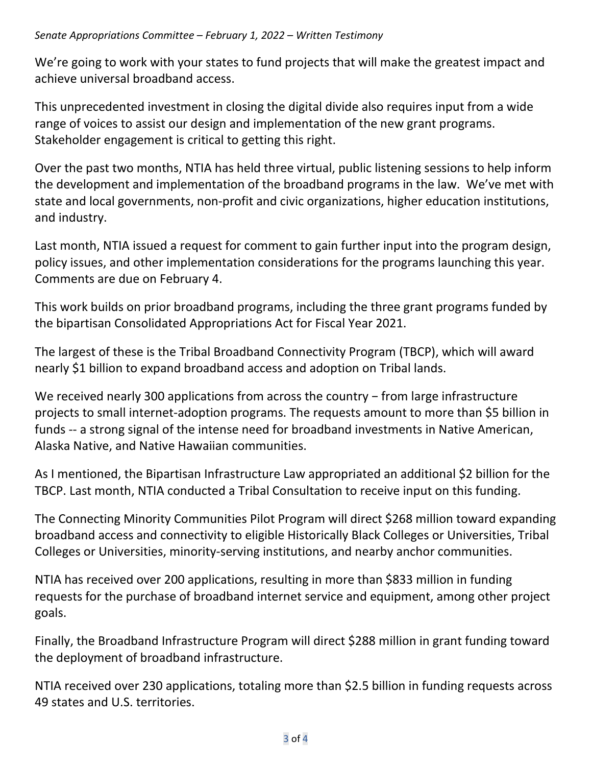We're going to work with your states to fund projects that will make the greatest impact and achieve universal broadband access.

This unprecedented investment in closing the digital divide also requires input from a wide range of voices to assist our design and implementation of the new grant programs. Stakeholder engagement is critical to getting this right.

Over the past two months, NTIA has held three virtual, public listening sessions to help inform the development and implementation of the broadband programs in the law. We've met with state and local governments, non-profit and civic organizations, higher education institutions, and industry.

Last month, NTIA issued a request for comment to gain further input into the program design, policy issues, and other implementation considerations for the programs launching this year. Comments are due on February 4.

This work builds on prior broadband programs, including the three grant programs funded by the bipartisan Consolidated Appropriations Act for Fiscal Year 2021.

The largest of these is the Tribal Broadband Connectivity Program (TBCP), which will award nearly \$1 billion to expand broadband access and adoption on Tribal lands.

We received nearly 300 applications from across the country – from large infrastructure projects to small internet-adoption programs. The requests amount to more than \$5 billion in funds -- a strong signal of the intense need for broadband investments in Native American, Alaska Native, and Native Hawaiian communities.

As I mentioned, the Bipartisan Infrastructure Law appropriated an additional \$2 billion for the TBCP. Last month, NTIA conducted a Tribal Consultation to receive input on this funding.

The Connecting Minority Communities Pilot Program will direct \$268 million toward expanding broadband access and connectivity to eligible Historically Black Colleges or Universities, Tribal Colleges or Universities, minority-serving institutions, and nearby anchor communities.

NTIA has received over 200 applications, resulting in more than \$833 million in funding requests for the purchase of broadband internet service and equipment, among other project goals.

Finally, the Broadband Infrastructure Program will direct \$288 million in grant funding toward the deployment of broadband infrastructure.

NTIA received over 230 applications, totaling more than \$2.5 billion in funding requests across 49 states and U.S. territories.